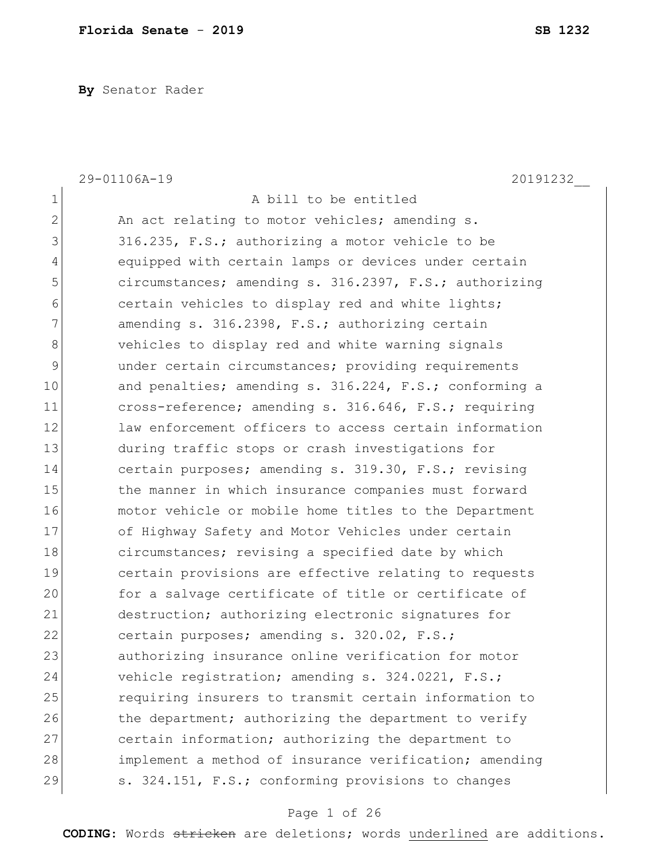**By** Senator Rader

|                | 29-01106A-19<br>20191232                               |
|----------------|--------------------------------------------------------|
| 1              | A bill to be entitled                                  |
| $\overline{2}$ | An act relating to motor vehicles; amending s.         |
| 3              | 316.235, F.S.; authorizing a motor vehicle to be       |
| 4              | equipped with certain lamps or devices under certain   |
| 5              | circumstances; amending s. 316.2397, F.S.; authorizing |
| 6              | certain vehicles to display red and white lights;      |
| 7              | amending s. 316.2398, F.S.; authorizing certain        |
| 8              | vehicles to display red and white warning signals      |
| 9              | under certain circumstances; providing requirements    |
| 10             | and penalties; amending s. 316.224, F.S.; conforming a |
| 11             | cross-reference; amending s. 316.646, F.S.; requiring  |
| 12             | law enforcement officers to access certain information |
| 13             | during traffic stops or crash investigations for       |
| 14             | certain purposes; amending s. 319.30, F.S.; revising   |
| 15             | the manner in which insurance companies must forward   |
| 16             | motor vehicle or mobile home titles to the Department  |
| 17             | of Highway Safety and Motor Vehicles under certain     |
| 18             | circumstances; revising a specified date by which      |
| 19             | certain provisions are effective relating to requests  |
| 20             | for a salvage certificate of title or certificate of   |
| 21             | destruction; authorizing electronic signatures for     |
| 22             | certain purposes; amending s. 320.02, F.S.;            |
| 23             | authorizing insurance online verification for motor    |
| 24             | vehicle registration; amending s. 324.0221, F.S.;      |
| 25             | requiring insurers to transmit certain information to  |
| 26             | the department; authorizing the department to verify   |
| 27             | certain information; authorizing the department to     |
| 28             | implement a method of insurance verification; amending |
| 29             | s. 324.151, F.S.; conforming provisions to changes     |

### Page 1 of 26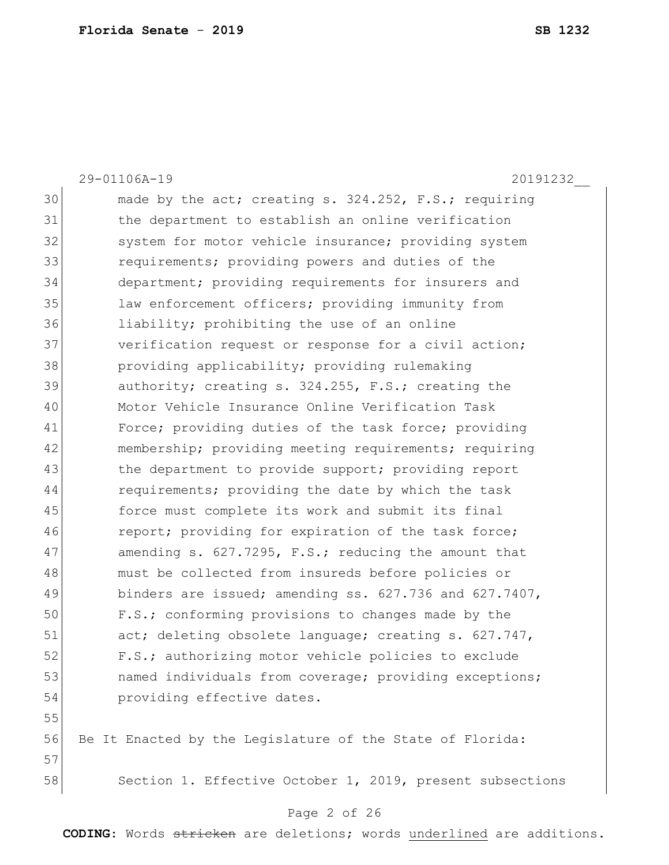29-01106A-19 20191232\_\_ 30 made by the act; creating s. 324.252, F.S.; requiring 31 the department to establish an online verification 32 system for motor vehicle insurance; providing system 33 **1** requirements; providing powers and duties of the 34 department; providing requirements for insurers and 35 law enforcement officers; providing immunity from 36 liability; prohibiting the use of an online 37 verification request or response for a civil action; 38 providing applicability; providing rulemaking 39 authority; creating s. 324.255, F.S.; creating the 40 Motor Vehicle Insurance Online Verification Task 41 Force; providing duties of the task force; providing 42 membership; providing meeting requirements; requiring 43 black the department to provide support; providing report 44 requirements; providing the date by which the task 45 force must complete its work and submit its final 46 report; providing for expiration of the task force; 47 amending s. 627.7295, F.S.; reducing the amount that 48 must be collected from insureds before policies or 49 binders are issued; amending ss. 627.736 and 627.7407, 50 F.S.; conforming provisions to changes made by the 51 act; deleting obsolete language; creating s. 627.747, 52 F.S.; authorizing motor vehicle policies to exclude 53 hamed individuals from coverage; providing exceptions; 54 **providing effective dates.** 55 56 Be It Enacted by the Legislature of the State of Florida: 57

58 Section 1. Effective October 1, 2019, present subsections

#### Page 2 of 26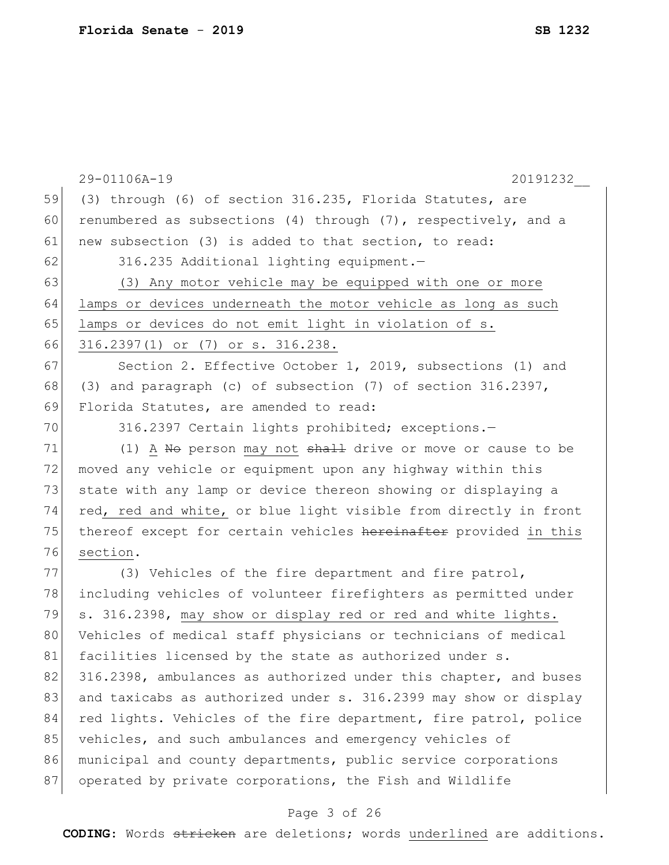|    | 29-01106A-19<br>20191232                                         |
|----|------------------------------------------------------------------|
| 59 | (3) through (6) of section 316.235, Florida Statutes, are        |
| 60 | renumbered as subsections (4) through (7), respectively, and a   |
| 61 | new subsection (3) is added to that section, to read:            |
| 62 | 316.235 Additional lighting equipment.-                          |
| 63 | (3) Any motor vehicle may be equipped with one or more           |
| 64 | lamps or devices underneath the motor vehicle as long as such    |
| 65 | lamps or devices do not emit light in violation of s.            |
| 66 | 316.2397(1) or (7) or s. 316.238.                                |
| 67 | Section 2. Effective October 1, 2019, subsections (1) and        |
| 68 | (3) and paragraph (c) of subsection (7) of section 316.2397,     |
| 69 | Florida Statutes, are amended to read:                           |
| 70 | 316.2397 Certain lights prohibited; exceptions.-                 |
| 71 | (1) A No person may not shall drive or move or cause to be       |
| 72 | moved any vehicle or equipment upon any highway within this      |
| 73 | state with any lamp or device thereon showing or displaying a    |
| 74 | red, red and white, or blue light visible from directly in front |
| 75 | thereof except for certain vehicles hereinafter provided in this |
| 76 | section.                                                         |
| 77 | (3) Vehicles of the fire department and fire patrol,             |
| 78 | including vehicles of volunteer firefighters as permitted under  |
| 79 | s. 316.2398, may show or display red or red and white lights.    |
| 80 | Vehicles of medical staff physicians or technicians of medical   |
| 81 | facilities licensed by the state as authorized under s.          |
| 82 | 316.2398, ambulances as authorized under this chapter, and buses |
| 83 | and taxicabs as authorized under s. 316.2399 may show or display |
| 84 | red lights. Vehicles of the fire department, fire patrol, police |
| 85 | vehicles, and such ambulances and emergency vehicles of          |
| 86 | municipal and county departments, public service corporations    |
| 87 | operated by private corporations, the Fish and Wildlife          |

# Page 3 of 26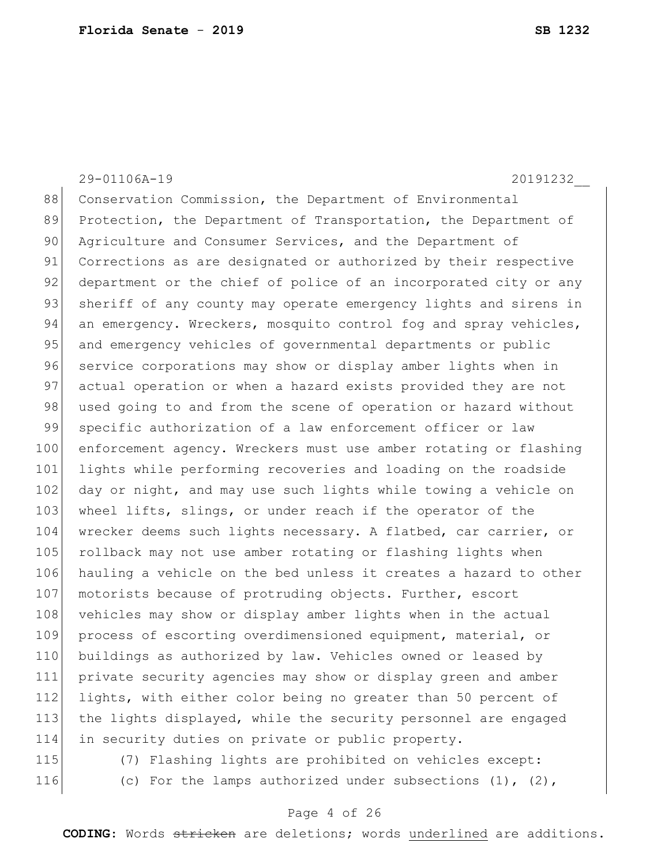29-01106A-19 20191232\_\_ 88 Conservation Commission, the Department of Environmental 89 Protection, the Department of Transportation, the Department of 90 Agriculture and Consumer Services, and the Department of 91 Corrections as are designated or authorized by their respective 92 department or the chief of police of an incorporated city or any 93 sheriff of any county may operate emergency lights and sirens in 94 an emergency. Wreckers, mosquito control fog and spray vehicles, 95 and emergency vehicles of governmental departments or public 96 service corporations may show or display amber lights when in 97 actual operation or when a hazard exists provided they are not 98 used going to and from the scene of operation or hazard without 99 specific authorization of a law enforcement officer or law 100 enforcement agency. Wreckers must use amber rotating or flashing 101 lights while performing recoveries and loading on the roadside 102 day or night, and may use such lights while towing a vehicle on 103 wheel lifts, slings, or under reach if the operator of the 104 wrecker deems such lights necessary. A flatbed, car carrier, or 105 rollback may not use amber rotating or flashing lights when 106 hauling a vehicle on the bed unless it creates a hazard to other 107 motorists because of protruding objects. Further, escort 108 vehicles may show or display amber lights when in the actual 109 process of escorting overdimensioned equipment, material, or 110 buildings as authorized by law. Vehicles owned or leased by 111 private security agencies may show or display green and amber 112 lights, with either color being no greater than 50 percent of 113 the lights displayed, while the security personnel are engaged 114 in security duties on private or public property. 115 (7) Flashing lights are prohibited on vehicles except:

116 (c) For the lamps authorized under subsections (1), (2),

#### Page 4 of 26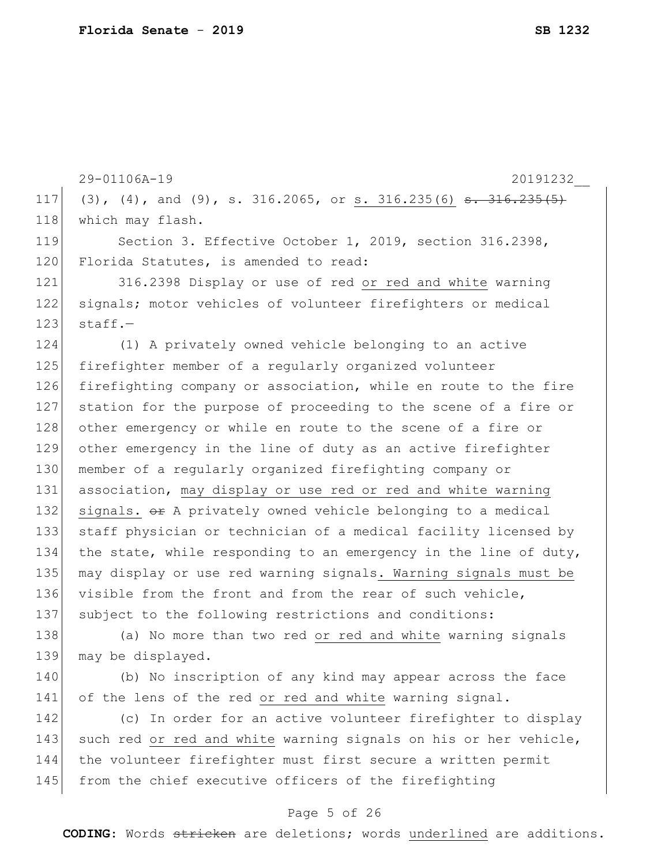29-01106A-19 20191232\_\_ 117 (3), (4), and (9), s. 316.2065, or s. 316.235(6) <del>s. 316.235(5)</del> 118 | which may flash. 119 Section 3. Effective October 1, 2019, section 316.2398, 120 Florida Statutes, is amended to read: 121 316.2398 Display or use of red or red and white warning 122 signals; motor vehicles of volunteer firefighters or medical  $123$  staff.-124 (1) A privately owned vehicle belonging to an active 125 firefighter member of a regularly organized volunteer 126 firefighting company or association, while en route to the fire 127 station for the purpose of proceeding to the scene of a fire or 128 other emergency or while en route to the scene of a fire or 129 other emergency in the line of duty as an active firefighter 130 member of a regularly organized firefighting company or 131 association, may display or use red or red and white warning 132 signals. Or A privately owned vehicle belonging to a medical 133 staff physician or technician of a medical facility licensed by 134 the state, while responding to an emergency in the line of duty, 135 may display or use red warning signals. Warning signals must be 136 visible from the front and from the rear of such vehicle, 137 subject to the following restrictions and conditions: 138 (a) No more than two red or red and white warning signals 139 may be displayed. 140 (b) No inscription of any kind may appear across the face 141 of the lens of the red or red and white warning signal. 142 (c) In order for an active volunteer firefighter to display 143 such red or red and white warning signals on his or her vehicle, 144 the volunteer firefighter must first secure a written permit 145 from the chief executive officers of the firefighting

#### Page 5 of 26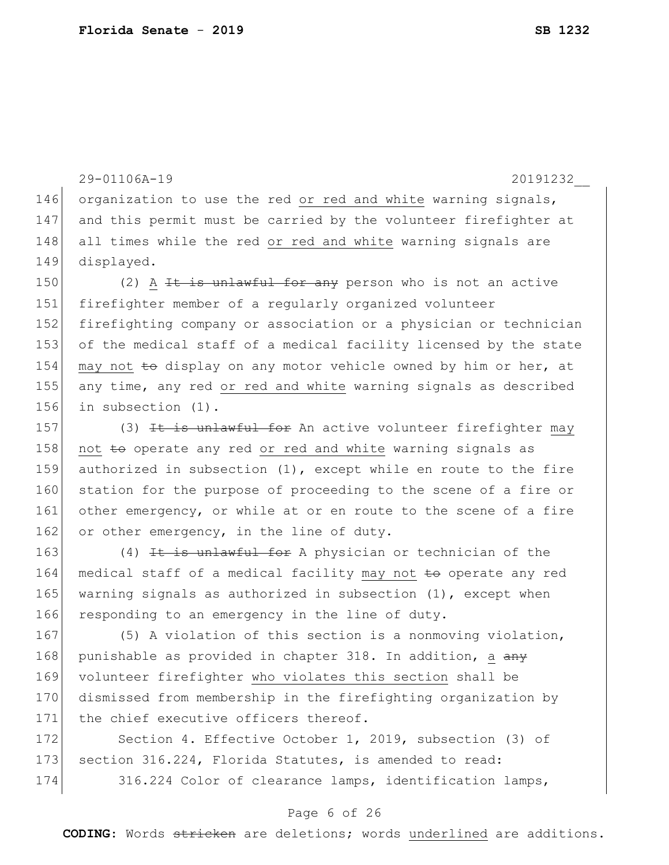29-01106A-19 20191232\_\_ 146 organization to use the red or red and white warning signals, 147 and this permit must be carried by the volunteer firefighter at 148 all times while the red or red and white warning signals are 149 displayed. 150 (2) A  $\pm t$  is unlawful for any person who is not an active 151 firefighter member of a regularly organized volunteer 152 firefighting company or association or a physician or technician 153 of the medical staff of a medical facility licensed by the state 154 may not to display on any motor vehicle owned by him or her, at 155 any time, any red or red and white warning signals as described 156 in subsection (1). 157 (3) It is unlawful for An active volunteer firefighter may 158 not to operate any red or red and white warning signals as 159 authorized in subsection (1), except while en route to the fire 160 station for the purpose of proceeding to the scene of a fire or 161 other emergency, or while at or en route to the scene of a fire 162 or other emergency, in the line of duty. 163  $(4)$  It is unlawful for A physician or technician of the 164 medical staff of a medical facility may not to operate any red 165 warning signals as authorized in subsection  $(1)$ , except when 166 responding to an emergency in the line of duty. 167 (5) A violation of this section is a nonmoving violation, 168 punishable as provided in chapter 318. In addition, a any 169 volunteer firefighter who violates this section shall be 170 dismissed from membership in the firefighting organization by 171 the chief executive officers thereof. 172 Section 4. Effective October 1, 2019, subsection (3) of 173 section 316.224, Florida Statutes, is amended to read: 174 316.224 Color of clearance lamps, identification lamps,

#### Page 6 of 26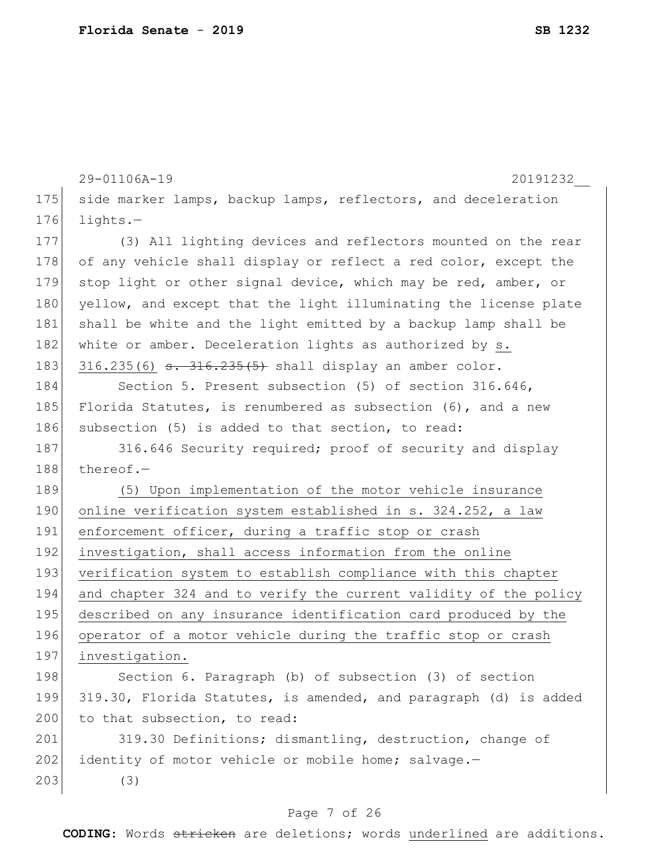|     | 29-01106A-19<br>20191232                                         |
|-----|------------------------------------------------------------------|
| 175 | side marker lamps, backup lamps, reflectors, and deceleration    |
| 176 | $l$ ights. $-$                                                   |
| 177 | (3) All lighting devices and reflectors mounted on the rear      |
| 178 | of any vehicle shall display or reflect a red color, except the  |
| 179 | stop light or other signal device, which may be red, amber, or   |
| 180 | yellow, and except that the light illuminating the license plate |
| 181 | shall be white and the light emitted by a backup lamp shall be   |
| 182 | white or amber. Deceleration lights as authorized by s.          |
| 183 | $316.235(6)$ s. $316.235(5)$ shall display an amber color.       |
| 184 | Section 5. Present subsection (5) of section 316.646,            |
| 185 | Florida Statutes, is renumbered as subsection (6), and a new     |
| 186 | subsection (5) is added to that section, to read:                |
| 187 | 316.646 Security required; proof of security and display         |
| 188 | thereof. $-$                                                     |
| 189 | (5) Upon implementation of the motor vehicle insurance           |
| 190 | online verification system established in s. 324.252, a law      |
| 191 | enforcement officer, during a traffic stop or crash              |
| 192 | investigation, shall access information from the online          |
| 193 | verification system to establish compliance with this chapter    |
| 194 | and chapter 324 and to verify the current validity of the policy |
| 195 | described on any insurance identification card produced by the   |
| 196 | operator of a motor vehicle during the traffic stop or crash     |
| 197 | investigation.                                                   |
| 198 | Section 6. Paragraph (b) of subsection (3) of section            |
| 199 | 319.30, Florida Statutes, is amended, and paragraph (d) is added |
| 200 | to that subsection, to read:                                     |
| 201 | 319.30 Definitions; dismantling, destruction, change of          |
| 202 | identity of motor vehicle or mobile home; salvage.-              |
| 203 | (3)                                                              |
|     |                                                                  |

### Page 7 of 26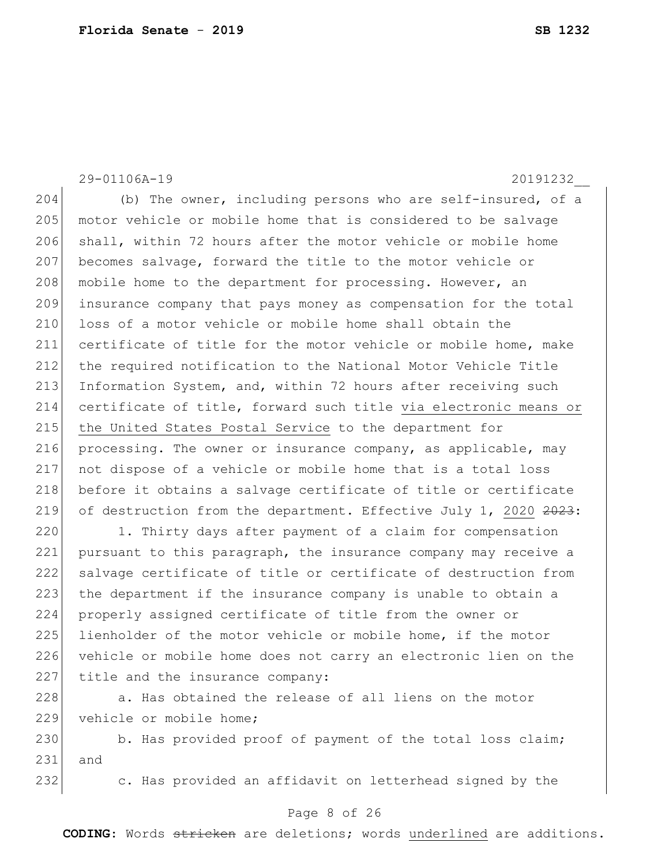29-01106A-19 20191232\_\_

204 (b) The owner, including persons who are self-insured, of a 205 motor vehicle or mobile home that is considered to be salvage 206 shall, within 72 hours after the motor vehicle or mobile home 207 becomes salvage, forward the title to the motor vehicle or 208 mobile home to the department for processing. However, an 209 insurance company that pays money as compensation for the total 210 loss of a motor vehicle or mobile home shall obtain the 211 certificate of title for the motor vehicle or mobile home, make 212 the required notification to the National Motor Vehicle Title 213 Information System, and, within 72 hours after receiving such 214 certificate of title, forward such title via electronic means or 215 the United States Postal Service to the department for 216 processing. The owner or insurance company, as applicable, may 217 not dispose of a vehicle or mobile home that is a total loss 218 before it obtains a salvage certificate of title or certificate 219 of destruction from the department. Effective July 1, 2020 2023:

220 1. Thirty days after payment of a claim for compensation 221 pursuant to this paragraph, the insurance company may receive a 222 salvage certificate of title or certificate of destruction from 223 the department if the insurance company is unable to obtain a 224 properly assigned certificate of title from the owner or 225 lienholder of the motor vehicle or mobile home, if the motor 226 vehicle or mobile home does not carry an electronic lien on the 227 title and the insurance company:

228 a. Has obtained the release of all liens on the motor 229 vehicle or mobile home;

230 b. Has provided proof of payment of the total loss claim; 231 and

232 c. Has provided an affidavit on letterhead signed by the

#### Page 8 of 26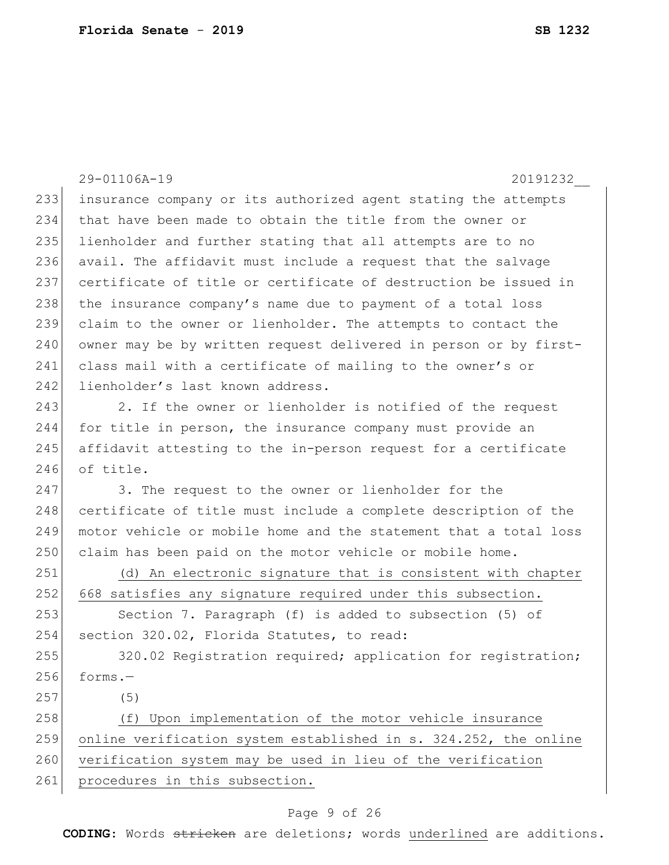29-01106A-19 20191232\_\_ 233 insurance company or its authorized agent stating the attempts 234 that have been made to obtain the title from the owner or 235 lienholder and further stating that all attempts are to no 236 avail. The affidavit must include a request that the salvage 237 certificate of title or certificate of destruction be issued in 238 the insurance company's name due to payment of a total loss 239 claim to the owner or lienholder. The attempts to contact the 240 owner may be by written request delivered in person or by first-241 class mail with a certificate of mailing to the owner's or 242 lienholder's last known address. 243 2. If the owner or lienholder is notified of the request 244 for title in person, the insurance company must provide an 245 affidavit attesting to the in-person request for a certificate 246 of title. 247 3. The request to the owner or lienholder for the 248 certificate of title must include a complete description of the 249 motor vehicle or mobile home and the statement that a total loss 250 claim has been paid on the motor vehicle or mobile home. 251 (d) An electronic signature that is consistent with chapter 252 668 satisfies any signature required under this subsection. 253 Section 7. Paragraph (f) is added to subsection (5) of 254 section 320.02, Florida Statutes, to read: 255 320.02 Registration required; application for registration;  $256$  forms. 257 (5) 258 (f) Upon implementation of the motor vehicle insurance 259 online verification system established in s. 324.252, the online 260 verification system may be used in lieu of the verification 261 procedures in this subsection.

### Page 9 of 26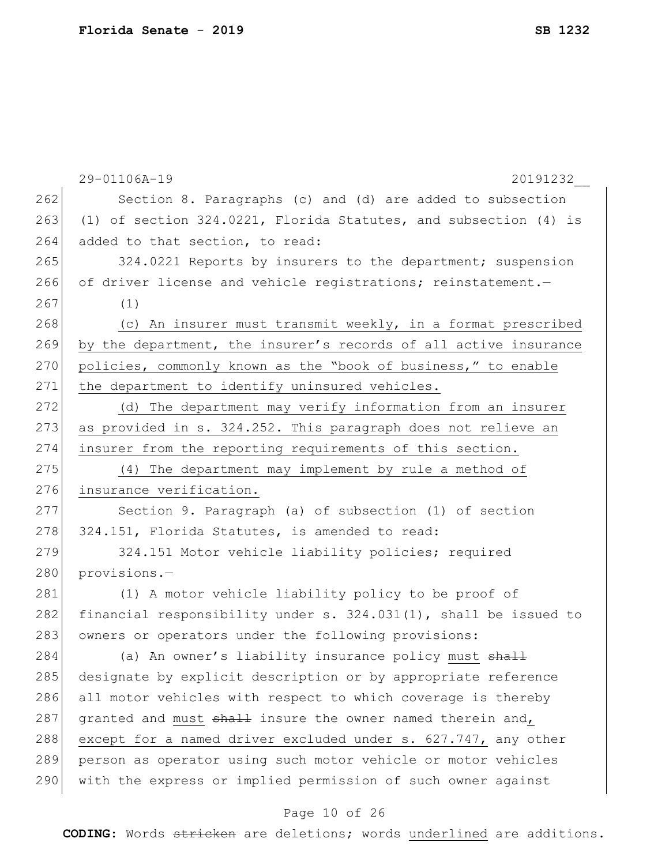|     | 29-01106A-19<br>20191232                                            |
|-----|---------------------------------------------------------------------|
| 262 | Section 8. Paragraphs (c) and (d) are added to subsection           |
| 263 | (1) of section 324.0221, Florida Statutes, and subsection (4) is    |
| 264 | added to that section, to read:                                     |
| 265 | 324.0221 Reports by insurers to the department; suspension          |
| 266 | of driver license and vehicle registrations; reinstatement.-        |
| 267 | (1)                                                                 |
| 268 | (c) An insurer must transmit weekly, in a format prescribed         |
| 269 | by the department, the insurer's records of all active insurance    |
| 270 | policies, commonly known as the "book of business," to enable       |
| 271 | the department to identify uninsured vehicles.                      |
| 272 | (d) The department may verify information from an insurer           |
| 273 | as provided in s. 324.252. This paragraph does not relieve an       |
| 274 | insurer from the reporting requirements of this section.            |
| 275 | (4) The department may implement by rule a method of                |
| 276 | insurance verification.                                             |
| 277 | Section 9. Paragraph (a) of subsection (1) of section               |
| 278 | 324.151, Florida Statutes, is amended to read:                      |
| 279 | 324.151 Motor vehicle liability policies; required                  |
| 280 | provisions.-                                                        |
| 281 | (1) A motor vehicle liability policy to be proof of                 |
| 282 | financial responsibility under s. $324.031(1)$ , shall be issued to |
| 283 | owners or operators under the following provisions:                 |
| 284 | (a) An owner's liability insurance policy must <del>shall</del>     |
| 285 | designate by explicit description or by appropriate reference       |
| 286 | all motor vehicles with respect to which coverage is thereby        |
| 287 | granted and must shall insure the owner named therein and,          |
| 288 | except for a named driver excluded under s. 627.747, any other      |
| 289 | person as operator using such motor vehicle or motor vehicles       |
| 290 | with the express or implied permission of such owner against        |
|     |                                                                     |

#### Page 10 of 26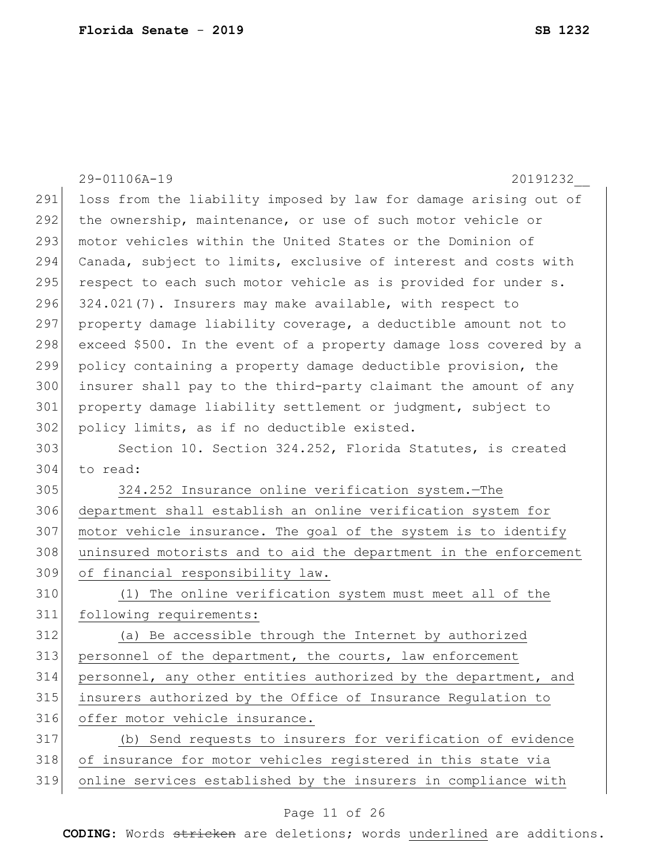|     | 29-01106A-19<br>20191232                                          |
|-----|-------------------------------------------------------------------|
| 291 | loss from the liability imposed by law for damage arising out of  |
| 292 | the ownership, maintenance, or use of such motor vehicle or       |
| 293 | motor vehicles within the United States or the Dominion of        |
| 294 | Canada, subject to limits, exclusive of interest and costs with   |
| 295 | respect to each such motor vehicle as is provided for under s.    |
| 296 | 324.021(7). Insurers may make available, with respect to          |
| 297 | property damage liability coverage, a deductible amount not to    |
| 298 | exceed \$500. In the event of a property damage loss covered by a |
| 299 | policy containing a property damage deductible provision, the     |
| 300 | insurer shall pay to the third-party claimant the amount of any   |
| 301 | property damage liability settlement or judgment, subject to      |
| 302 | policy limits, as if no deductible existed.                       |
| 303 | Section 10. Section 324.252, Florida Statutes, is created         |
| 304 | to read:                                                          |
| 305 | 324.252 Insurance online verification system.-The                 |
| 306 | department shall establish an online verification system for      |
| 307 | motor vehicle insurance. The goal of the system is to identify    |
| 308 | uninsured motorists and to aid the department in the enforcement  |
| 309 | of financial responsibility law.                                  |
| 310 | (1) The online verification system must meet all of the           |
| 311 | following requirements:                                           |
| 312 | (a) Be accessible through the Internet by authorized              |
| 313 | personnel of the department, the courts, law enforcement          |
| 314 | personnel, any other entities authorized by the department, and   |
| 315 | insurers authorized by the Office of Insurance Regulation to      |
| 316 | offer motor vehicle insurance.                                    |
| 317 | (b) Send requests to insurers for verification of evidence        |
| 318 | of insurance for motor vehicles registered in this state via      |
| 319 | online services established by the insurers in compliance with    |

### Page 11 of 26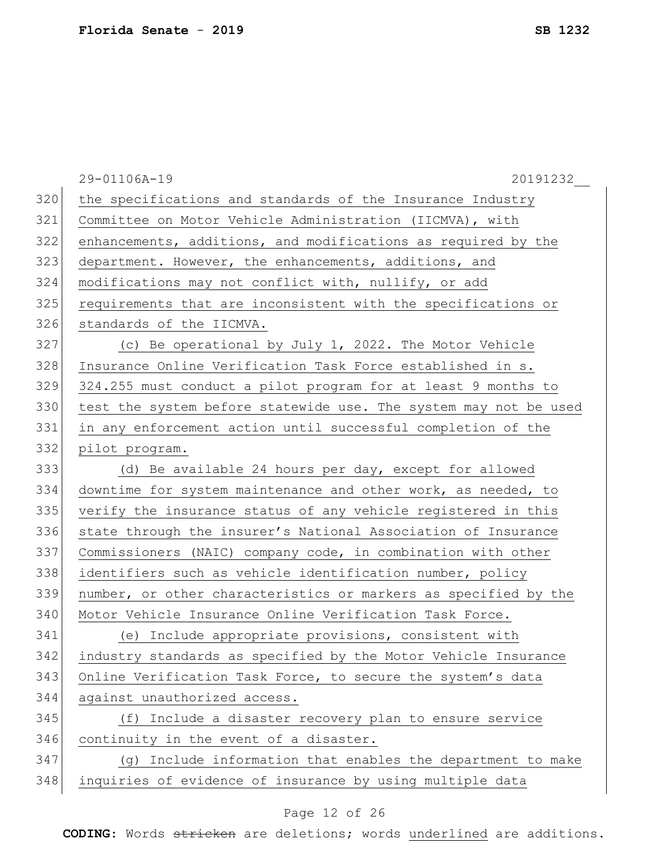|     | 29-01106A-19<br>20191232                                         |
|-----|------------------------------------------------------------------|
| 320 | the specifications and standards of the Insurance Industry       |
| 321 | Committee on Motor Vehicle Administration (IICMVA), with         |
| 322 | enhancements, additions, and modifications as required by the    |
| 323 | department. However, the enhancements, additions, and            |
| 324 | modifications may not conflict with, nullify, or add             |
| 325 | requirements that are inconsistent with the specifications or    |
| 326 | standards of the IICMVA.                                         |
| 327 | (c) Be operational by July 1, 2022. The Motor Vehicle            |
| 328 | Insurance Online Verification Task Force established in s.       |
| 329 | 324.255 must conduct a pilot program for at least 9 months to    |
| 330 | test the system before statewide use. The system may not be used |
| 331 | in any enforcement action until successful completion of the     |
| 332 | pilot program.                                                   |
| 333 | (d) Be available 24 hours per day, except for allowed            |
| 334 | downtime for system maintenance and other work, as needed, to    |
| 335 | verify the insurance status of any vehicle registered in this    |
| 336 | state through the insurer's National Association of Insurance    |
| 337 | Commissioners (NAIC) company code, in combination with other     |
| 338 | identifiers such as vehicle identification number, policy        |
| 339 | number, or other characteristics or markers as specified by the  |
| 340 | Motor Vehicle Insurance Online Verification Task Force.          |
| 341 | (e) Include appropriate provisions, consistent with              |
| 342 | industry standards as specified by the Motor Vehicle Insurance   |
| 343 | Online Verification Task Force, to secure the system's data      |
| 344 | against unauthorized access.                                     |
| 345 | (f) Include a disaster recovery plan to ensure service           |
| 346 | continuity in the event of a disaster.                           |
| 347 | (g) Include information that enables the department to make      |
| 348 | inquiries of evidence of insurance by using multiple data        |
|     |                                                                  |

### Page 12 of 26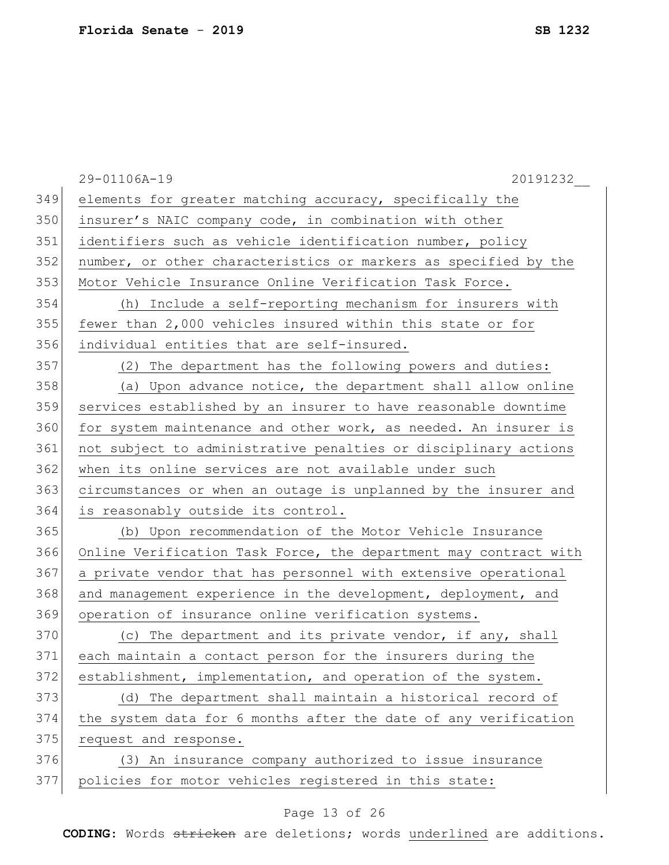|     | 29-01106A-19<br>20191232                                         |
|-----|------------------------------------------------------------------|
| 349 | elements for greater matching accuracy, specifically the         |
| 350 | insurer's NAIC company code, in combination with other           |
| 351 | identifiers such as vehicle identification number, policy        |
| 352 | number, or other characteristics or markers as specified by the  |
| 353 | Motor Vehicle Insurance Online Verification Task Force.          |
| 354 | (h) Include a self-reporting mechanism for insurers with         |
| 355 | fewer than 2,000 vehicles insured within this state or for       |
| 356 | individual entities that are self-insured.                       |
| 357 | (2) The department has the following powers and duties:          |
| 358 | (a) Upon advance notice, the department shall allow online       |
| 359 | services established by an insurer to have reasonable downtime   |
| 360 | for system maintenance and other work, as needed. An insurer is  |
| 361 | not subject to administrative penalties or disciplinary actions  |
| 362 | when its online services are not available under such            |
| 363 | circumstances or when an outage is unplanned by the insurer and  |
| 364 | is reasonably outside its control.                               |
| 365 | (b) Upon recommendation of the Motor Vehicle Insurance           |
| 366 | Online Verification Task Force, the department may contract with |
| 367 | a private vendor that has personnel with extensive operational   |
| 368 | and management experience in the development, deployment, and    |
| 369 | operation of insurance online verification systems.              |
| 370 | (c) The department and its private vendor, if any, shall         |
| 371 | each maintain a contact person for the insurers during the       |
| 372 | establishment, implementation, and operation of the system.      |
| 373 | (d) The department shall maintain a historical record of         |
| 374 | the system data for 6 months after the date of any verification  |
| 375 | request and response.                                            |
| 376 | (3) An insurance company authorized to issue insurance           |
| 377 | policies for motor vehicles registered in this state:            |
|     |                                                                  |

### Page 13 of 26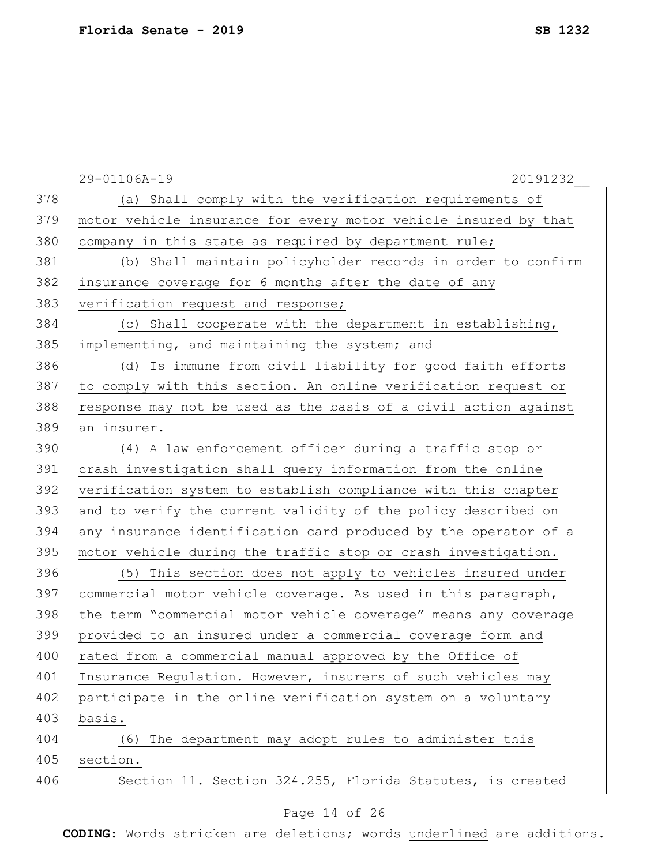|     | 29-01106A-19<br>20191232                                        |
|-----|-----------------------------------------------------------------|
| 378 | (a) Shall comply with the verification requirements of          |
| 379 | motor vehicle insurance for every motor vehicle insured by that |
| 380 | company in this state as required by department rule;           |
| 381 | (b) Shall maintain policyholder records in order to confirm     |
| 382 | insurance coverage for 6 months after the date of any           |
| 383 | verification request and response;                              |
| 384 | (c) Shall cooperate with the department in establishing,        |
| 385 | implementing, and maintaining the system; and                   |
| 386 | (d) Is immune from civil liability for good faith efforts       |
| 387 | to comply with this section. An online verification request or  |
| 388 | response may not be used as the basis of a civil action against |
| 389 | an insurer.                                                     |
| 390 | (4) A law enforcement officer during a traffic stop or          |
| 391 | crash investigation shall query information from the online     |
| 392 | verification system to establish compliance with this chapter   |
| 393 | and to verify the current validity of the policy described on   |
| 394 | any insurance identification card produced by the operator of a |
| 395 | motor vehicle during the traffic stop or crash investigation.   |
| 396 | (5) This section does not apply to vehicles insured under       |
| 397 | commercial motor vehicle coverage. As used in this paragraph,   |
| 398 | the term "commercial motor vehicle coverage" means any coverage |
| 399 | provided to an insured under a commercial coverage form and     |
| 400 | rated from a commercial manual approved by the Office of        |
| 401 | Insurance Regulation. However, insurers of such vehicles may    |
| 402 | participate in the online verification system on a voluntary    |
| 403 | basis.                                                          |
| 404 | The department may adopt rules to administer this<br>(6)        |
| 405 | section.                                                        |
| 406 | Section 11. Section 324.255, Florida Statutes, is created       |

### Page 14 of 26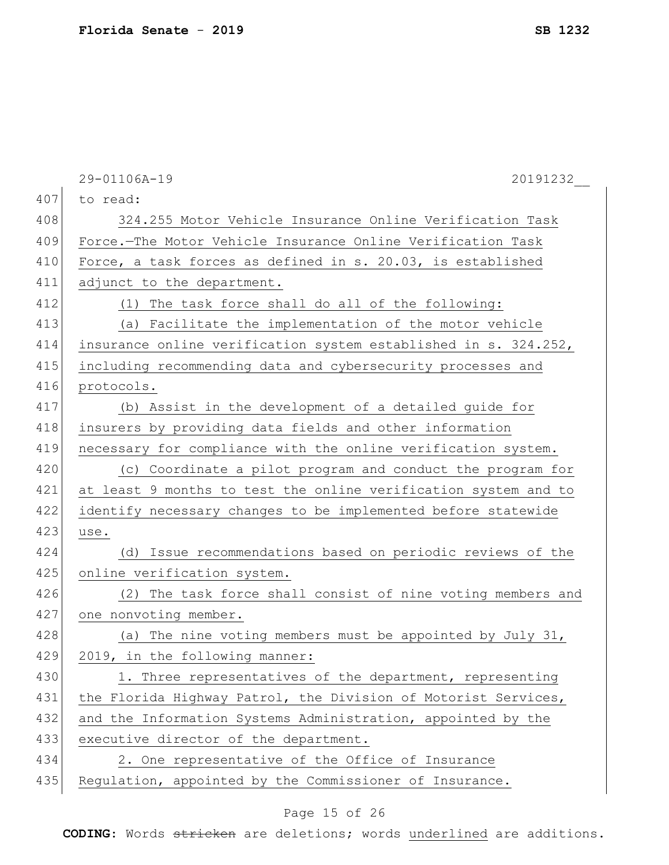|     | 29-01106A-19<br>20191232                                        |
|-----|-----------------------------------------------------------------|
| 407 | to read:                                                        |
| 408 | 324.255 Motor Vehicle Insurance Online Verification Task        |
| 409 | Force.-The Motor Vehicle Insurance Online Verification Task     |
| 410 | Force, a task forces as defined in s. 20.03, is established     |
| 411 | adjunct to the department.                                      |
| 412 | The task force shall do all of the following:<br>(1)            |
| 413 | (a) Facilitate the implementation of the motor vehicle          |
| 414 | insurance online verification system established in s. 324.252, |
| 415 | including recommending data and cybersecurity processes and     |
| 416 | protocols.                                                      |
| 417 | (b) Assist in the development of a detailed guide for           |
| 418 | insurers by providing data fields and other information         |
| 419 | necessary for compliance with the online verification system.   |
| 420 | (c) Coordinate a pilot program and conduct the program for      |
| 421 | at least 9 months to test the online verification system and to |
| 422 | identify necessary changes to be implemented before statewide   |
| 423 | use.                                                            |
| 424 | (d) Issue recommendations based on periodic reviews of the      |
| 425 | online verification system.                                     |
| 426 | (2) The task force shall consist of nine voting members and     |
| 427 | one nonvoting member.                                           |
| 428 | (a) The nine voting members must be appointed by July 31,       |
| 429 | 2019, in the following manner:                                  |
| 430 | 1. Three representatives of the department, representing        |
| 431 | the Florida Highway Patrol, the Division of Motorist Services,  |
| 432 | and the Information Systems Administration, appointed by the    |
| 433 | executive director of the department.                           |
| 434 | 2. One representative of the Office of Insurance                |
| 435 | Regulation, appointed by the Commissioner of Insurance.         |
|     |                                                                 |

### Page 15 of 26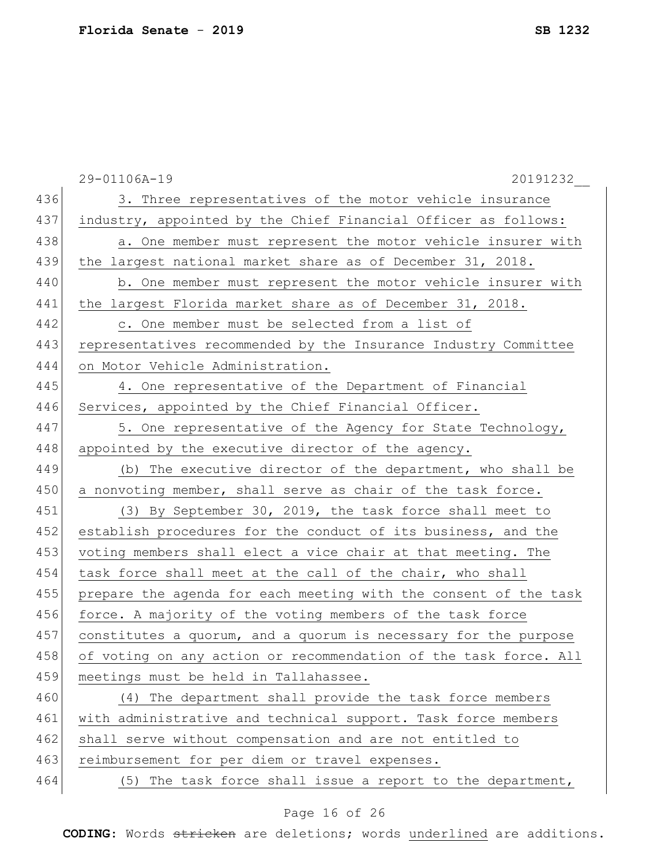|     | 29-01106A-19<br>20191232                                         |
|-----|------------------------------------------------------------------|
| 436 | 3. Three representatives of the motor vehicle insurance          |
| 437 | industry, appointed by the Chief Financial Officer as follows:   |
| 438 | a. One member must represent the motor vehicle insurer with      |
| 439 | the largest national market share as of December 31, 2018.       |
| 440 | b. One member must represent the motor vehicle insurer with      |
| 441 | the largest Florida market share as of December 31, 2018.        |
| 442 | c. One member must be selected from a list of                    |
| 443 | representatives recommended by the Insurance Industry Committee  |
| 444 | on Motor Vehicle Administration.                                 |
| 445 | 4. One representative of the Department of Financial             |
| 446 | Services, appointed by the Chief Financial Officer.              |
| 447 | 5. One representative of the Agency for State Technology,        |
| 448 | appointed by the executive director of the agency.               |
| 449 | (b) The executive director of the department, who shall be       |
| 450 | a nonvoting member, shall serve as chair of the task force.      |
| 451 | (3) By September 30, 2019, the task force shall meet to          |
| 452 | establish procedures for the conduct of its business, and the    |
| 453 | voting members shall elect a vice chair at that meeting. The     |
| 454 | task force shall meet at the call of the chair, who shall        |
| 455 | prepare the agenda for each meeting with the consent of the task |
| 456 | force. A majority of the voting members of the task force        |
| 457 | constitutes a quorum, and a quorum is necessary for the purpose  |
| 458 | of voting on any action or recommendation of the task force. All |
| 459 | meetings must be held in Tallahassee.                            |
| 460 | (4) The department shall provide the task force members          |
| 461 | with administrative and technical support. Task force members    |
| 462 | shall serve without compensation and are not entitled to         |
| 463 | reimbursement for per diem or travel expenses.                   |
| 464 | The task force shall issue a report to the department,<br>(5)    |

### Page 16 of 26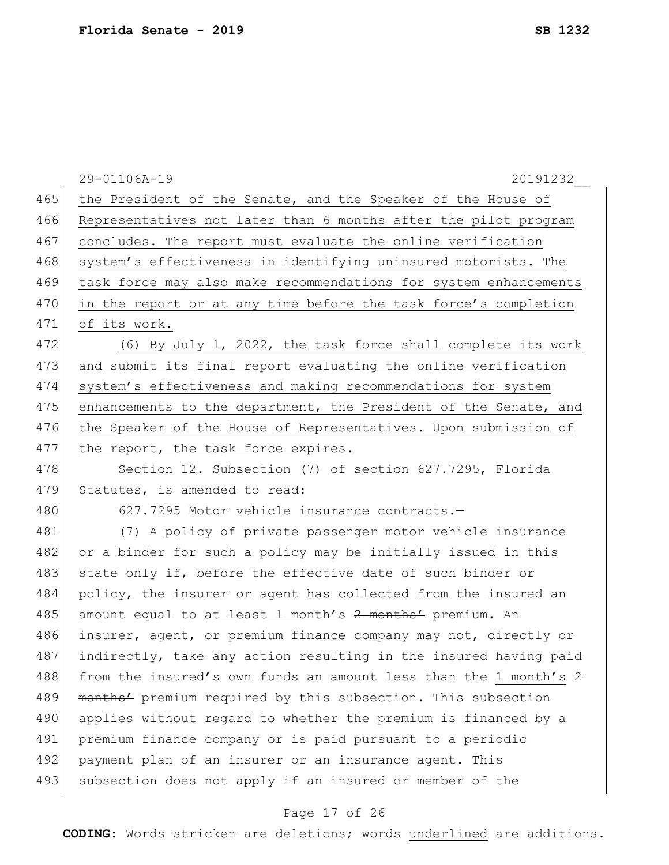|     | 29-01106A-19<br>20191232                                         |
|-----|------------------------------------------------------------------|
| 465 | the President of the Senate, and the Speaker of the House of     |
| 466 | Representatives not later than 6 months after the pilot program  |
| 467 | concludes. The report must evaluate the online verification      |
| 468 | system's effectiveness in identifying uninsured motorists. The   |
| 469 | task force may also make recommendations for system enhancements |
| 470 | in the report or at any time before the task force's completion  |
| 471 | of its work.                                                     |
| 472 | (6) By July 1, 2022, the task force shall complete its work      |
| 473 | and submit its final report evaluating the online verification   |
| 474 | system's effectiveness and making recommendations for system     |
| 475 | enhancements to the department, the President of the Senate, and |
| 476 | the Speaker of the House of Representatives. Upon submission of  |
| 477 | the report, the task force expires.                              |
| 478 | Section 12. Subsection (7) of section 627.7295, Florida          |
| 479 | Statutes, is amended to read:                                    |
| 480 | 627.7295 Motor vehicle insurance contracts.-                     |
| 481 | (7) A policy of private passenger motor vehicle insurance        |
| 482 | or a binder for such a policy may be initially issued in this    |
| 483 | state only if, before the effective date of such binder or       |
| 484 | policy, the insurer or agent has collected from the insured an   |
| 485 | amount equal to at least 1 month's 2 months' premium. An         |
| 486 | insurer, agent, or premium finance company may not, directly or  |
| 487 | indirectly, take any action resulting in the insured having paid |
| 488 | from the insured's own funds an amount less than the 1 month's 2 |
| 489 | months' premium required by this subsection. This subsection     |
| 490 | applies without regard to whether the premium is financed by a   |
| 491 | premium finance company or is paid pursuant to a periodic        |
| 492 | payment plan of an insurer or an insurance agent. This           |
| 493 | subsection does not apply if an insured or member of the         |
|     |                                                                  |

### Page 17 of 26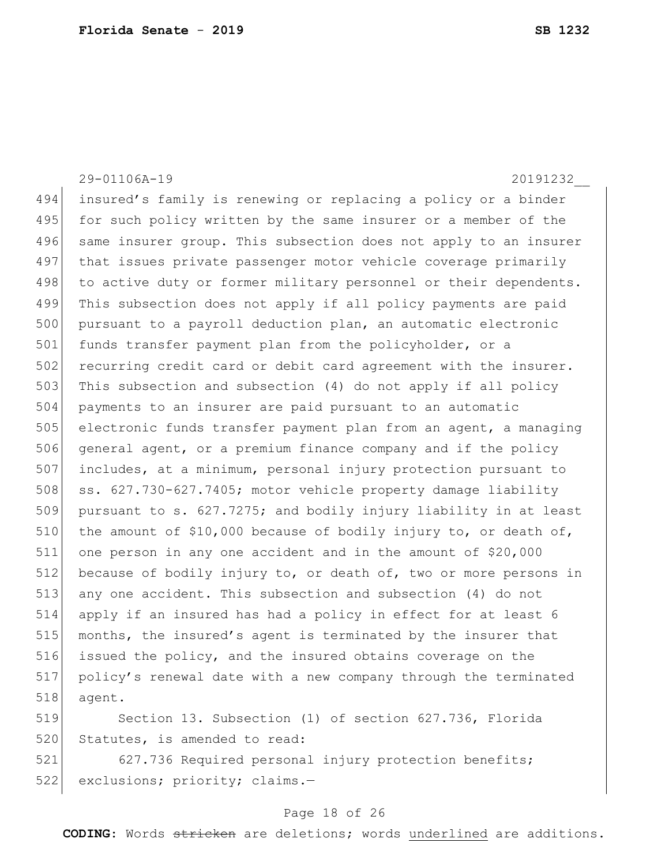|     | 29-01106A-19<br>20191232                                         |
|-----|------------------------------------------------------------------|
| 494 | insured's family is renewing or replacing a policy or a binder   |
| 495 | for such policy written by the same insurer or a member of the   |
| 496 | same insurer group. This subsection does not apply to an insurer |
| 497 | that issues private passenger motor vehicle coverage primarily   |
| 498 | to active duty or former military personnel or their dependents. |
| 499 | This subsection does not apply if all policy payments are paid   |
| 500 | pursuant to a payroll deduction plan, an automatic electronic    |
| 501 | funds transfer payment plan from the policyholder, or a          |
| 502 | recurring credit card or debit card agreement with the insurer.  |
| 503 | This subsection and subsection (4) do not apply if all policy    |
| 504 | payments to an insurer are paid pursuant to an automatic         |
| 505 | electronic funds transfer payment plan from an agent, a managing |
| 506 | general agent, or a premium finance company and if the policy    |
| 507 | includes, at a minimum, personal injury protection pursuant to   |
| 508 | ss. 627.730-627.7405; motor vehicle property damage liability    |
| 509 | pursuant to s. 627.7275; and bodily injury liability in at least |
| 510 | the amount of \$10,000 because of bodily injury to, or death of, |
| 511 | one person in any one accident and in the amount of \$20,000     |
| 512 | because of bodily injury to, or death of, two or more persons in |
| 513 | any one accident. This subsection and subsection (4) do not      |
| 514 | apply if an insured has had a policy in effect for at least 6    |
| 515 | months, the insured's agent is terminated by the insurer that    |
| 516 | issued the policy, and the insured obtains coverage on the       |
| 517 | policy's renewal date with a new company through the terminated  |
| 518 | agent.                                                           |
| 519 | Section 13. Subsection (1) of section 627.736, Florida           |
| 520 | Statutes, is amended to read:                                    |

521 627.736 Required personal injury protection benefits; 522 exclusions; priority; claims.-

## Page 18 of 26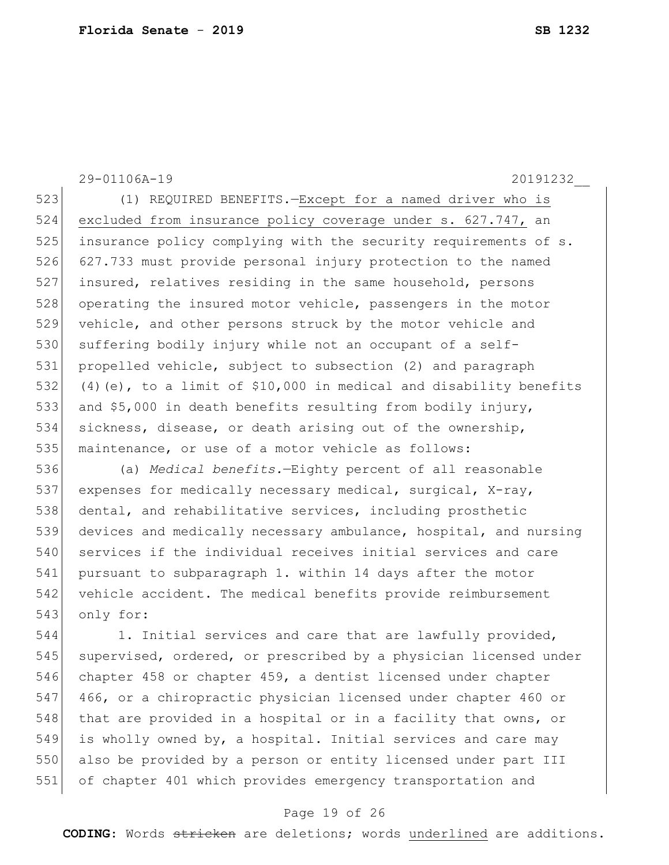29-01106A-19 20191232\_\_ 523 (1) REQUIRED BENEFITS.—Except for a named driver who is 524 excluded from insurance policy coverage under s. 627.747, an 525 insurance policy complying with the security requirements of s. 526 627.733 must provide personal injury protection to the named 527 insured, relatives residing in the same household, persons 528 operating the insured motor vehicle, passengers in the motor 529 vehicle, and other persons struck by the motor vehicle and 530 suffering bodily injury while not an occupant of a self-531 propelled vehicle, subject to subsection (2) and paragraph 532 (4)(e), to a limit of \$10,000 in medical and disability benefits 533 and \$5,000 in death benefits resulting from bodily injury, 534 sickness, disease, or death arising out of the ownership, 535 maintenance, or use of a motor vehicle as follows: 536 (a) *Medical benefits.*—Eighty percent of all reasonable 537 expenses for medically necessary medical, surgical, X-ray, 538 dental, and rehabilitative services, including prosthetic 539 devices and medically necessary ambulance, hospital, and nursing 540 services if the individual receives initial services and care 541 pursuant to subparagraph 1. within 14 days after the motor 542 vehicle accident. The medical benefits provide reimbursement 543 only for: 544 1. Initial services and care that are lawfully provided, 545 supervised, ordered, or prescribed by a physician licensed under 546 chapter 458 or chapter 459, a dentist licensed under chapter 547 466, or a chiropractic physician licensed under chapter 460 or 548 that are provided in a hospital or in a facility that owns, or 549 is wholly owned by, a hospital. Initial services and care may 550 also be provided by a person or entity licensed under part III

#### Page 19 of 26

551 of chapter 401 which provides emergency transportation and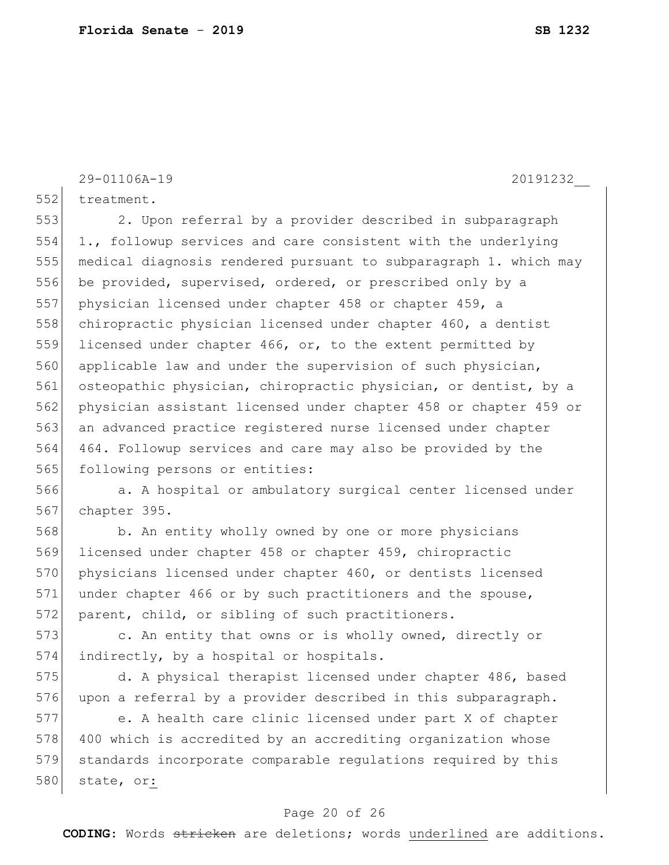552 treatment.

553 2. Upon referral by a provider described in subparagraph 554 1., followup services and care consistent with the underlying 555 medical diagnosis rendered pursuant to subparagraph 1. which may 556 be provided, supervised, ordered, or prescribed only by a 557 physician licensed under chapter 458 or chapter 459, a 558 chiropractic physician licensed under chapter 460, a dentist 559 licensed under chapter 466, or, to the extent permitted by 560 applicable law and under the supervision of such physician, 561 osteopathic physician, chiropractic physician, or dentist, by a 562 physician assistant licensed under chapter 458 or chapter 459 or 563 an advanced practice registered nurse licensed under chapter 564 464. Followup services and care may also be provided by the 565 following persons or entities:

566 a. A hospital or ambulatory surgical center licensed under 567 chapter 395.

568 b. An entity wholly owned by one or more physicians 569 licensed under chapter 458 or chapter 459, chiropractic 570 physicians licensed under chapter 460, or dentists licensed 571 under chapter 466 or by such practitioners and the spouse, 572 parent, child, or sibling of such practitioners.

573 c. An entity that owns or is wholly owned, directly or 574 indirectly, by a hospital or hospitals.

575 d. A physical therapist licensed under chapter 486, based 576 upon a referral by a provider described in this subparagraph.

577 e. A health care clinic licensed under part X of chapter 578 400 which is accredited by an accrediting organization whose 579 standards incorporate comparable regulations required by this 580 state, or:

### Page 20 of 26

**CODING**: Words stricken are deletions; words underlined are additions.

29-01106A-19 20191232\_\_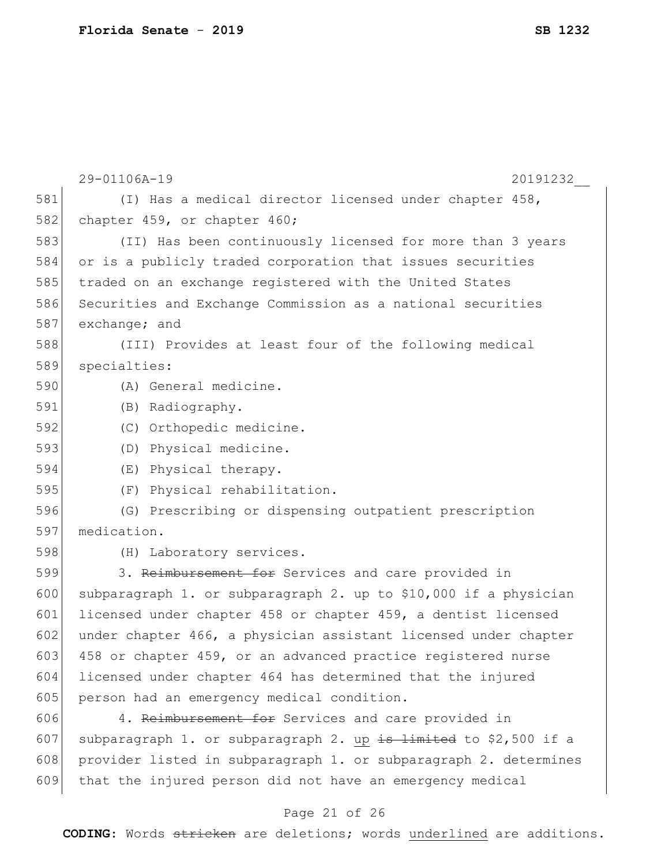|     | 29-01106A-19<br>20191232                                         |  |  |  |  |  |  |  |  |
|-----|------------------------------------------------------------------|--|--|--|--|--|--|--|--|
| 581 | (I) Has a medical director licensed under chapter 458,           |  |  |  |  |  |  |  |  |
| 582 | chapter 459, or chapter 460;                                     |  |  |  |  |  |  |  |  |
| 583 | (II) Has been continuously licensed for more than 3 years        |  |  |  |  |  |  |  |  |
| 584 | or is a publicly traded corporation that issues securities       |  |  |  |  |  |  |  |  |
| 585 | traded on an exchange registered with the United States          |  |  |  |  |  |  |  |  |
| 586 | Securities and Exchange Commission as a national securities      |  |  |  |  |  |  |  |  |
| 587 | exchange; and                                                    |  |  |  |  |  |  |  |  |
| 588 | (III) Provides at least four of the following medical            |  |  |  |  |  |  |  |  |
| 589 | specialties:                                                     |  |  |  |  |  |  |  |  |
| 590 | (A) General medicine.                                            |  |  |  |  |  |  |  |  |
| 591 | (B) Radiography.                                                 |  |  |  |  |  |  |  |  |
| 592 | (C) Orthopedic medicine.                                         |  |  |  |  |  |  |  |  |
| 593 | (D) Physical medicine.                                           |  |  |  |  |  |  |  |  |
| 594 | (E) Physical therapy.                                            |  |  |  |  |  |  |  |  |
| 595 | (F) Physical rehabilitation.                                     |  |  |  |  |  |  |  |  |
| 596 | (G) Prescribing or dispensing outpatient prescription            |  |  |  |  |  |  |  |  |
| 597 | medication.                                                      |  |  |  |  |  |  |  |  |
| 598 | (H) Laboratory services.                                         |  |  |  |  |  |  |  |  |
| 599 | 3. Reimbursement for Services and care provided in               |  |  |  |  |  |  |  |  |
| 600 | subparagraph 1. or subparagraph 2. up to \$10,000 if a physician |  |  |  |  |  |  |  |  |
| 601 | licensed under chapter 458 or chapter 459, a dentist licensed    |  |  |  |  |  |  |  |  |
| 602 | under chapter 466, a physician assistant licensed under chapter  |  |  |  |  |  |  |  |  |
| 603 | 458 or chapter 459, or an advanced practice registered nurse     |  |  |  |  |  |  |  |  |
| 604 | licensed under chapter 464 has determined that the injured       |  |  |  |  |  |  |  |  |
| 605 | person had an emergency medical condition.                       |  |  |  |  |  |  |  |  |
| 606 | 4. Reimbursement for Services and care provided in               |  |  |  |  |  |  |  |  |
| 607 | subparagraph 1. or subparagraph 2. up is limited to \$2,500 if a |  |  |  |  |  |  |  |  |
| 608 | provider listed in subparagraph 1. or subparagraph 2. determines |  |  |  |  |  |  |  |  |
| 609 | that the injured person did not have an emergency medical        |  |  |  |  |  |  |  |  |

### Page 21 of 26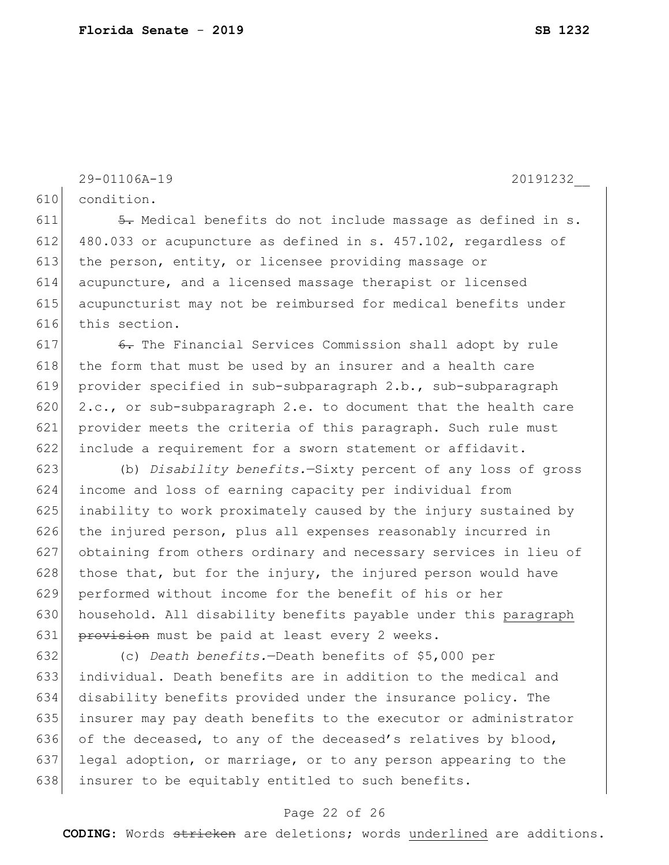```
29-01106A-19 20191232__
```
condition.

 $\leftarrow$  5. Medical benefits do not include massage as defined in s. 480.033 or acupuncture as defined in s. 457.102, regardless of 613 the person, entity, or licensee providing massage or acupuncture, and a licensed massage therapist or licensed acupuncturist may not be reimbursed for medical benefits under this section.

 $\leftarrow$  6. The Financial Services Commission shall adopt by rule the form that must be used by an insurer and a health care provider specified in sub-subparagraph 2.b., sub-subparagraph 620 2.c., or sub-subparagraph 2.e. to document that the health care provider meets the criteria of this paragraph. Such rule must include a requirement for a sworn statement or affidavit.

 (b) *Disability benefits.*—Sixty percent of any loss of gross income and loss of earning capacity per individual from inability to work proximately caused by the injury sustained by 626 the injured person, plus all expenses reasonably incurred in obtaining from others ordinary and necessary services in lieu of 628 those that, but for the injury, the injured person would have performed without income for the benefit of his or her household. All disability benefits payable under this paragraph 631 provision must be paid at least every 2 weeks.

 (c) *Death benefits.*—Death benefits of \$5,000 per individual. Death benefits are in addition to the medical and disability benefits provided under the insurance policy. The insurer may pay death benefits to the executor or administrator 636 of the deceased, to any of the deceased's relatives by blood, legal adoption, or marriage, or to any person appearing to the 638 insurer to be equitably entitled to such benefits.

#### Page 22 of 26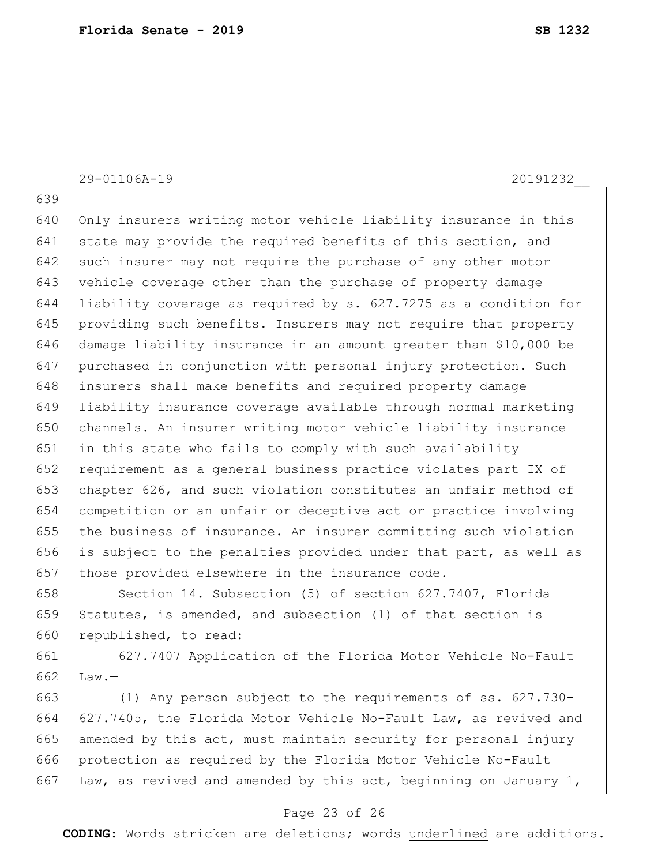29-01106A-19 20191232\_\_

640 Only insurers writing motor vehicle liability insurance in this 641 state may provide the required benefits of this section, and 642 such insurer may not require the purchase of any other motor vehicle coverage other than the purchase of property damage liability coverage as required by s. 627.7275 as a condition for providing such benefits. Insurers may not require that property damage liability insurance in an amount greater than \$10,000 be purchased in conjunction with personal injury protection. Such insurers shall make benefits and required property damage liability insurance coverage available through normal marketing channels. An insurer writing motor vehicle liability insurance in this state who fails to comply with such availability requirement as a general business practice violates part IX of chapter 626, and such violation constitutes an unfair method of competition or an unfair or deceptive act or practice involving the business of insurance. An insurer committing such violation is subject to the penalties provided under that part, as well as 657 those provided elsewhere in the insurance code.

658 Section 14. Subsection (5) of section 627.7407, Florida Statutes, is amended, and subsection (1) of that section is 660 republished, to read:

 627.7407 Application of the Florida Motor Vehicle No-Fault Law. -

 (1) Any person subject to the requirements of ss. 627.730- 627.7405, the Florida Motor Vehicle No-Fault Law, as revived and amended by this act, must maintain security for personal injury protection as required by the Florida Motor Vehicle No-Fault 667 Law, as revived and amended by this act, beginning on January 1,

#### Page 23 of 26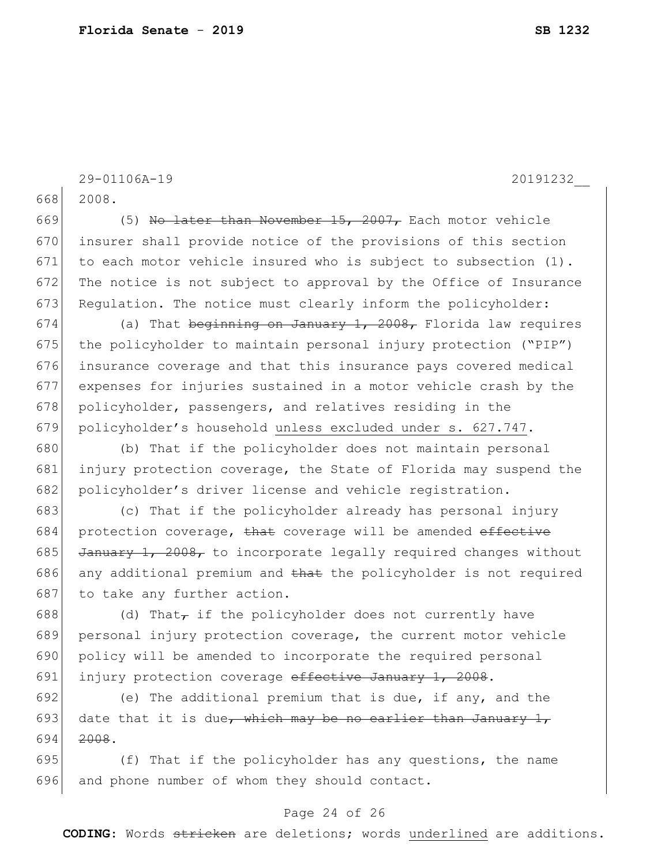```
29-01106A-19 20191232__
668 2008.
669 (5) No later than November 15, 2007, Each motor vehicle
670 insurer shall provide notice of the provisions of this section 
671 to each motor vehicle insured who is subject to subsection (1).
672 The notice is not subject to approval by the Office of Insurance
673 Regulation. The notice must clearly inform the policyholder:
674 (a) That beginning on January 1, 2008, Florida law requires
675 the policyholder to maintain personal injury protection ("PIP")
676 insurance coverage and that this insurance pays covered medical 
677 expenses for injuries sustained in a motor vehicle crash by the 
678 policyholder, passengers, and relatives residing in the
679 policyholder's household unless excluded under s. 627.747.
680 (b) That if the policyholder does not maintain personal 
681 injury protection coverage, the State of Florida may suspend the
682 policyholder's driver license and vehicle registration.
683 (c) That if the policyholder already has personal injury 
684 protection coverage, that coverage will be amended effective
685 J January 1, 2008, to incorporate legally required changes without
686 any additional premium and that the policyholder is not required
687 to take any further action.
688 (d) That, if the policyholder does not currently have
689 personal injury protection coverage, the current motor vehicle 
690 policy will be amended to incorporate the required personal 
691 injury protection coverage effective January 1, 2008.
692 (e) The additional premium that is due, if any, and the 
693 date that it is due, which may be no earlier than January 1,
694 2008.
695 (f) That if the policyholder has any questions, the name
696 and phone number of whom they should contact.
```
#### Page 24 of 26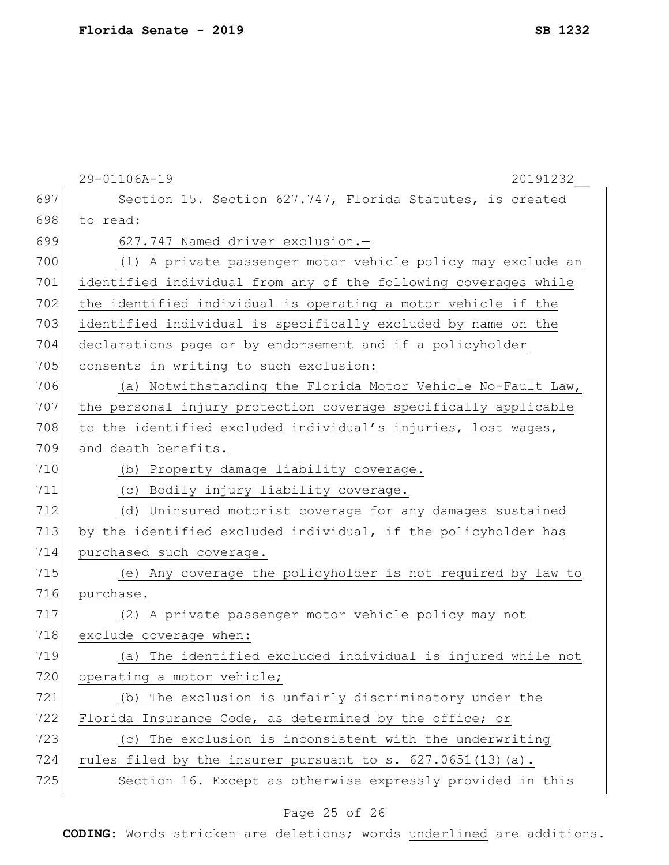|     | 29-01106A-19<br>20191232                                        |  |  |  |  |  |  |  |  |  |  |
|-----|-----------------------------------------------------------------|--|--|--|--|--|--|--|--|--|--|
| 697 | Section 15. Section 627.747, Florida Statutes, is created       |  |  |  |  |  |  |  |  |  |  |
| 698 | to read:                                                        |  |  |  |  |  |  |  |  |  |  |
| 699 | 627.747 Named driver exclusion.-                                |  |  |  |  |  |  |  |  |  |  |
| 700 | (1) A private passenger motor vehicle policy may exclude an     |  |  |  |  |  |  |  |  |  |  |
| 701 | identified individual from any of the following coverages while |  |  |  |  |  |  |  |  |  |  |
| 702 | the identified individual is operating a motor vehicle if the   |  |  |  |  |  |  |  |  |  |  |
| 703 | identified individual is specifically excluded by name on the   |  |  |  |  |  |  |  |  |  |  |
| 704 | declarations page or by endorsement and if a policyholder       |  |  |  |  |  |  |  |  |  |  |
| 705 | consents in writing to such exclusion:                          |  |  |  |  |  |  |  |  |  |  |
| 706 | (a) Notwithstanding the Florida Motor Vehicle No-Fault Law,     |  |  |  |  |  |  |  |  |  |  |
| 707 | the personal injury protection coverage specifically applicable |  |  |  |  |  |  |  |  |  |  |
| 708 | to the identified excluded individual's injuries, lost wages,   |  |  |  |  |  |  |  |  |  |  |
| 709 | and death benefits.                                             |  |  |  |  |  |  |  |  |  |  |
| 710 | (b) Property damage liability coverage.                         |  |  |  |  |  |  |  |  |  |  |
| 711 | (c) Bodily injury liability coverage.                           |  |  |  |  |  |  |  |  |  |  |
| 712 | (d) Uninsured motorist coverage for any damages sustained       |  |  |  |  |  |  |  |  |  |  |
| 713 | by the identified excluded individual, if the policyholder has  |  |  |  |  |  |  |  |  |  |  |
| 714 | purchased such coverage.                                        |  |  |  |  |  |  |  |  |  |  |
| 715 | (e) Any coverage the policyholder is not required by law to     |  |  |  |  |  |  |  |  |  |  |
| 716 | purchase.                                                       |  |  |  |  |  |  |  |  |  |  |
| 717 | (2) A private passenger motor vehicle policy may not            |  |  |  |  |  |  |  |  |  |  |
| 718 | exclude coverage when:                                          |  |  |  |  |  |  |  |  |  |  |
| 719 | (a) The identified excluded individual is injured while not     |  |  |  |  |  |  |  |  |  |  |
| 720 | operating a motor vehicle;                                      |  |  |  |  |  |  |  |  |  |  |
| 721 | (b) The exclusion is unfairly discriminatory under the          |  |  |  |  |  |  |  |  |  |  |
| 722 | Florida Insurance Code, as determined by the office; or         |  |  |  |  |  |  |  |  |  |  |
| 723 | (c) The exclusion is inconsistent with the underwriting         |  |  |  |  |  |  |  |  |  |  |
| 724 | rules filed by the insurer pursuant to s. 627.0651(13)(a).      |  |  |  |  |  |  |  |  |  |  |
| 725 | Section 16. Except as otherwise expressly provided in this      |  |  |  |  |  |  |  |  |  |  |

### Page 25 of 26